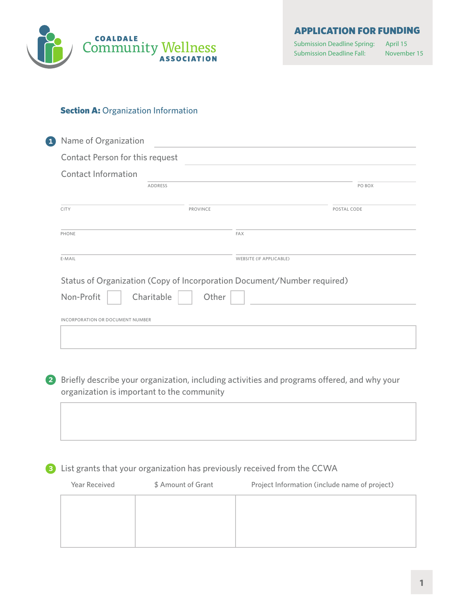

APPLICATION FOR FUNDING

Submission Deadline Spring: April 15 Submission Deadline Fall:

November 15

### **Section A: Organization Information**

| Contact Person for this request  |                     |                                                                         |             |
|----------------------------------|---------------------|-------------------------------------------------------------------------|-------------|
|                                  |                     |                                                                         |             |
| <b>Contact Information</b>       |                     |                                                                         |             |
|                                  | <b>ADDRESS</b>      |                                                                         | PO BOX      |
| <b>CITY</b>                      | PROVINCE            |                                                                         | POSTAL CODE |
| PHONE                            |                     | <b>FAX</b>                                                              |             |
| E-MAIL                           |                     | <b>WEBSITE (IF APPLICABLE)</b>                                          |             |
|                                  |                     | Status of Organization (Copy of Incorporation Document/Number required) |             |
| Non-Profit                       | Charitable<br>Other |                                                                         |             |
| INCORPORATION OR DOCUMENT NUMBER |                     |                                                                         |             |
|                                  |                     |                                                                         |             |

2 Briefly describe your organization, including activities and programs offered, and why your organization is important to the community

# 8 List grants that your organization has previously received from the CCWA

| Year Received | \$ Amount of Grant | Project Information (include name of project) |
|---------------|--------------------|-----------------------------------------------|
|               |                    |                                               |
|               |                    |                                               |
|               |                    |                                               |
|               |                    |                                               |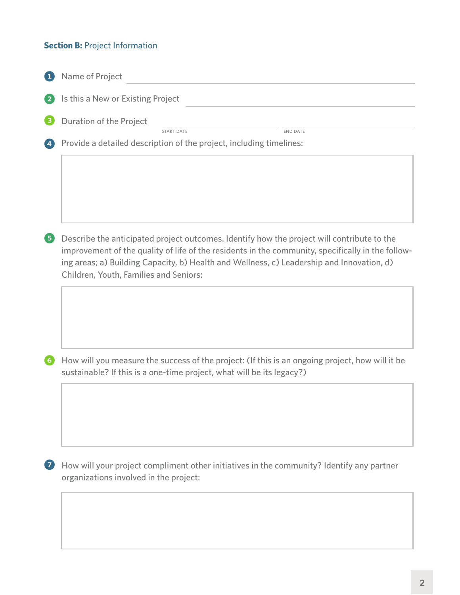# **Section B: Project Information**

| Name of Project                                                                                                                                                                                                                                                                                                                        |
|----------------------------------------------------------------------------------------------------------------------------------------------------------------------------------------------------------------------------------------------------------------------------------------------------------------------------------------|
| Is this a New or Existing Project                                                                                                                                                                                                                                                                                                      |
| Duration of the Project<br><b>END DATE</b><br><b>START DATE</b>                                                                                                                                                                                                                                                                        |
| Provide a detailed description of the project, including timelines:                                                                                                                                                                                                                                                                    |
| Describe the anticipated project outcomes. Identify how the project will contribute to the<br>improvement of the quality of life of the residents in the community, specifically in the follow-<br>ing areas; a) Building Capacity, b) Health and Wellness, c) Leadership and Innovation, d)<br>Children, Youth, Families and Seniors: |
| How will you measure the success of the project: (If this is an ongoing project, how will it be<br>sustainable? If this is a one-time project, what will be its legacy?)                                                                                                                                                               |
| How will your project compliment other initiatives in the community? Identify any partner<br>organizations involved in the project:                                                                                                                                                                                                    |
|                                                                                                                                                                                                                                                                                                                                        |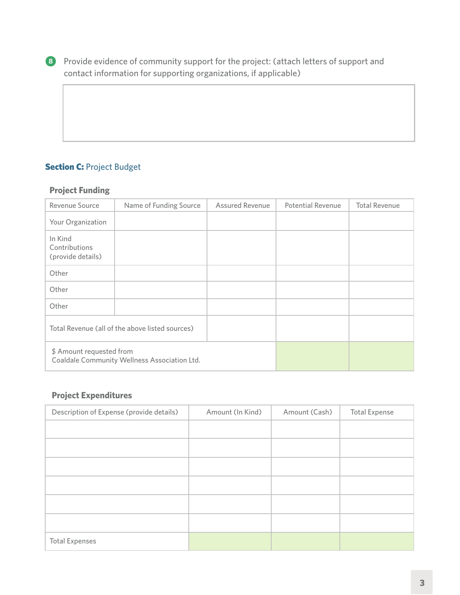8 Provide evidence of community support for the project: (attach letters of support and contact information for supporting organizations, if applicable)

# **Section C: Project Budget**

## **Project Funding**

| Revenue Source                                  | Name of Funding Source                       | Assured Revenue | <b>Potential Revenue</b> | <b>Total Revenue</b> |
|-------------------------------------------------|----------------------------------------------|-----------------|--------------------------|----------------------|
| Your Organization                               |                                              |                 |                          |                      |
| In Kind<br>Contributions<br>(provide details)   |                                              |                 |                          |                      |
| Other                                           |                                              |                 |                          |                      |
| Other                                           |                                              |                 |                          |                      |
| Other                                           |                                              |                 |                          |                      |
| Total Revenue (all of the above listed sources) |                                              |                 |                          |                      |
| \$ Amount requested from                        | Coaldale Community Wellness Association Ltd. |                 |                          |                      |

## **Project Expenditures**

| Description of Expense (provide details) | Amount (In Kind) | Amount (Cash) | <b>Total Expense</b> |
|------------------------------------------|------------------|---------------|----------------------|
|                                          |                  |               |                      |
|                                          |                  |               |                      |
|                                          |                  |               |                      |
|                                          |                  |               |                      |
|                                          |                  |               |                      |
|                                          |                  |               |                      |
| <b>Total Expenses</b>                    |                  |               |                      |